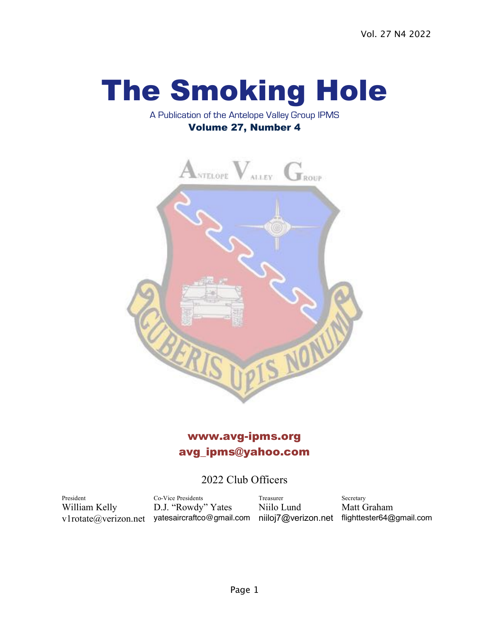# The Smoking Hole

#### A Publication of the Antelope Valley Group IPMS Volume 27, Number 4



# www.avg-ipms.org avg\_ipms@yahoo.com

# 2022 Club Officers

President Co-Vice Presidents Treasurer Secretary William Kelly D.J. "Rowdy" Yates Niilo Lund Matt Graham v1rotate@verizon.net yatesaircraftco@gmail.com niiloj7@verizon.net flighttester64@gmail.com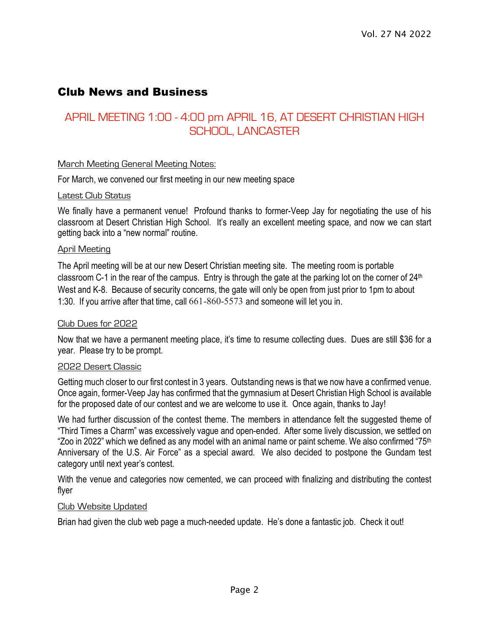# Club News and Business

# APRIL MEETING 1:00 - 4:00 pm APRIL 16, AT DESERT CHRISTIAN HIGH SCHOOL, LANCASTER

#### March Meeting General Meeting Notes:

For March, we convened our first meeting in our new meeting space

#### Latest Club Status

We finally have a permanent venue! Profound thanks to former-Veep Jay for negotiating the use of his classroom at Desert Christian High School. It's really an excellent meeting space, and now we can start getting back into a "new normal" routine.

#### April Meeting

The April meeting will be at our new Desert Christian meeting site. The meeting room is portable classroom C-1 in the rear of the campus. Entry is through the gate at the parking lot on the corner of 24<sup>th</sup> West and K-8. Because of security concerns, the gate will only be open from just prior to 1pm to about 1:30. If you arrive after that time, call 661-860-5573 and someone will let you in.

#### Club Dues for 2022

Now that we have a permanent meeting place, it's time to resume collecting dues. Dues are still \$36 for a year. Please try to be prompt.

#### 2022 Desert Classic

Getting much closer to our first contest in 3 years. Outstanding news is that we now have a confirmed venue. Once again, former-Veep Jay has confirmed that the gymnasium at Desert Christian High School is available for the proposed date of our contest and we are welcome to use it. Once again, thanks to Jay!

We had further discussion of the contest theme. The members in attendance felt the suggested theme of "Third Times a Charm" was excessively vague and open-ended. After some lively discussion, we settled on "Zoo in 2022" which we defined as any model with an animal name or paint scheme. We also confirmed "75<sup>th</sup> Anniversary of the U.S. Air Force" as a special award. We also decided to postpone the Gundam test category until next year's contest.

With the venue and categories now cemented, we can proceed with finalizing and distributing the contest flyer

#### Club Website Updated

Brian had given the club web page a much-needed update. He's done a fantastic job. Check it out!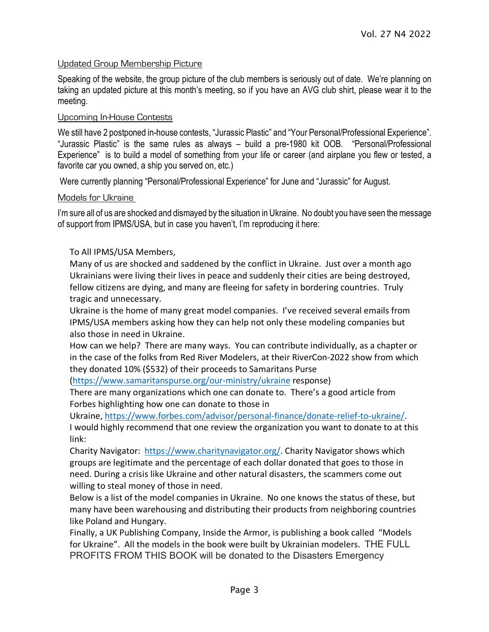#### Updated Group Membership Picture

Speaking of the website, the group picture of the club members is seriously out of date. We're planning on taking an updated picture at this month's meeting, so if you have an AVG club shirt, please wear it to the meeting.

#### Upcoming In-House Contests

We still have 2 postponed in-house contests, "Jurassic Plastic" and "Your Personal/Professional Experience". "Jurassic Plastic" is the same rules as always – build a pre-1980 kit OOB. "Personal/Professional Experience" is to build a model of something from your life or career (and airplane you flew or tested, a favorite car you owned, a ship you served on, etc.)

Were currently planning "Personal/Professional Experience" for June and "Jurassic" for August.

#### Models for Ukraine

I'm sure all of us are shocked and dismayed by the situation in Ukraine. No doubt you have seen the message of support from IPMS/USA, but in case you haven't, I'm reproducing it here:

#### To All IPMS/USA Members,

Many of us are shocked and saddened by the conflict in Ukraine. Just over a month ago Ukrainians were living their lives in peace and suddenly their cities are being destroyed, fellow citizens are dying, and many are fleeing for safety in bordering countries. Truly tragic and unnecessary.

Ukraine is the home of many great model companies. I've received several emails from IPMS/USA members asking how they can help not only these modeling companies but also those in need in Ukraine.

How can we help? There are many ways. You can contribute individually, as a chapter or in the case of the folks from Red River Modelers, at their RiverCon-2022 show from which they donated 10% (\$532) of their proceeds to Samaritans Purse

(https://www.samaritanspurse.org/our-ministry/ukraine response)

There are many organizations which one can donate to. There's a good article from Forbes highlighting how one can donate to those in

Ukraine, https://www.forbes.com/advisor/personal-finance/donate-relief-to-ukraine/. I would highly recommend that one review the organization you want to donate to at this link:

Charity Navigator: https://www.charitynavigator.org/. Charity Navigator shows which groups are legitimate and the percentage of each dollar donated that goes to those in need. During a crisis like Ukraine and other natural disasters, the scammers come out willing to steal money of those in need.

Below is a list of the model companies in Ukraine. No one knows the status of these, but many have been warehousing and distributing their products from neighboring countries like Poland and Hungary.

Finally, a UK Publishing Company, Inside the Armor, is publishing a book called "Models for Ukraine". All the models in the book were built by Ukrainian modelers. THE FULL PROFITS FROM THIS BOOK will be donated to the Disasters Emergency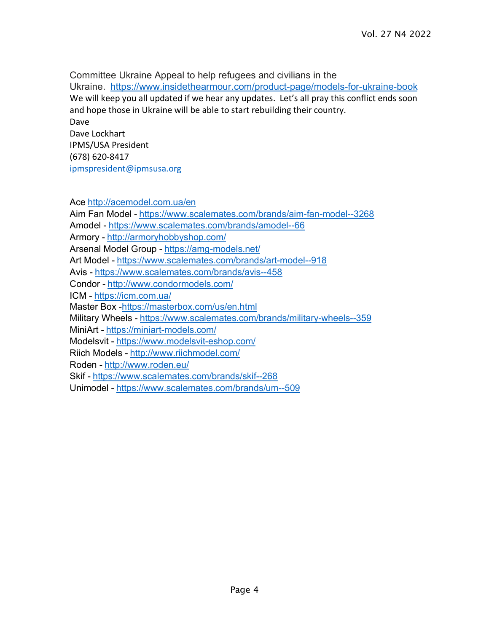Committee Ukraine Appeal to help refugees and civilians in the Ukraine. https://www.insidethearmour.com/product-page/models-for-ukraine-book We will keep you all updated if we hear any updates. Let's all pray this conflict ends soon and hope those in Ukraine will be able to start rebuilding their country. Dave Dave Lockhart

IPMS/USA President (678) 620-8417

ipmspresident@ipmsusa.org

Ace http://acemodel.com.ua/en

Aim Fan Model - https://www.scalemates.com/brands/aim-fan-model--3268 Amodel - https://www.scalemates.com/brands/amodel--66 Armory - http://armoryhobbyshop.com/ Arsenal Model Group - https://amg-models.net/ Art Model - https://www.scalemates.com/brands/art-model--918 Avis - https://www.scalemates.com/brands/avis--458 Condor - http://www.condormodels.com/ ICM - https://icm.com.ua/ Master Box -https://masterbox.com/us/en.html Military Wheels - https://www.scalemates.com/brands/military-wheels--359 MiniArt - https://miniart-models.com/ Modelsvit - https://www.modelsvit-eshop.com/ Riich Models - http://www.riichmodel.com/ Roden - http://www.roden.eu/ Skif - https://www.scalemates.com/brands/skif--268 Unimodel - https://www.scalemates.com/brands/um--509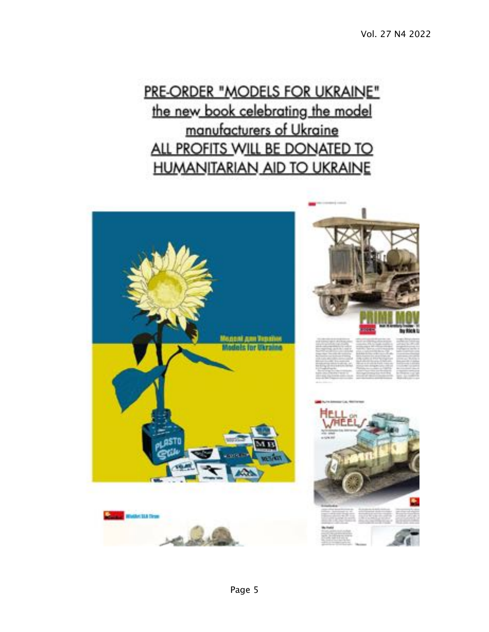# PRE-ORDER "MODELS FOR UKRAINE" the new book celebrating the model manufacturers of Ukraine ALL PROFITS WILL BE DONATED TO **HUMANITARIAN AID TO UKRAINE**

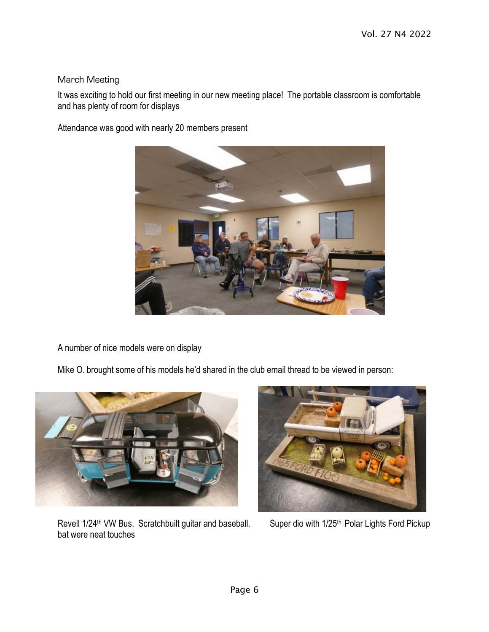#### March Meeting

It was exciting to hold our first meeting in our new meeting place! The portable classroom is comfortable and has plenty of room for displays

Attendance was good with nearly 20 members present



A number of nice models were on display

Mike O. brought some of his models he'd shared in the club email thread to be viewed in person:



Revell 1/24<sup>th</sup> VW Bus. Scratchbuilt guitar and baseball. Super dio with 1/25<sup>th</sup> Polar Lights Ford Pickup bat were neat touches

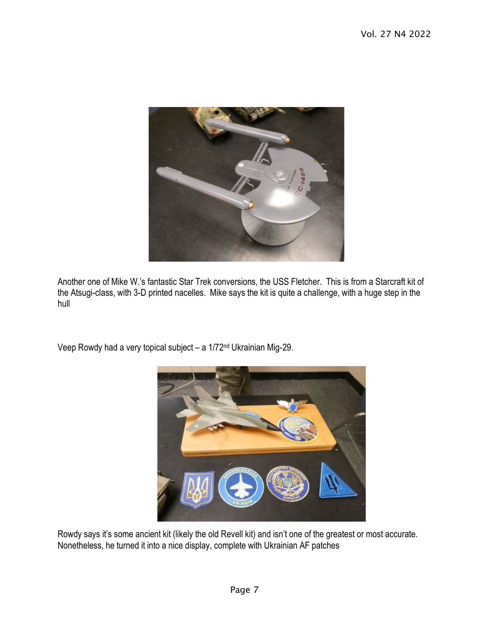

Another one of Mike W.'s fantastic Star Trek conversions, the USS Fletcher. This is from a Starcraft kit of the Atsugi-class, with 3-D printed nacelles. Mike says the kit is quite a challenge, with a huge step in the hull

Veep Rowdy had a very topical subject – a 1/72nd Ukrainian Mig-29.



Rowdy says it's some ancient kit (likely the old Revell kit) and isn't one of the greatest or most accurate. Nonetheless, he turned it into a nice display, complete with Ukrainian AF patches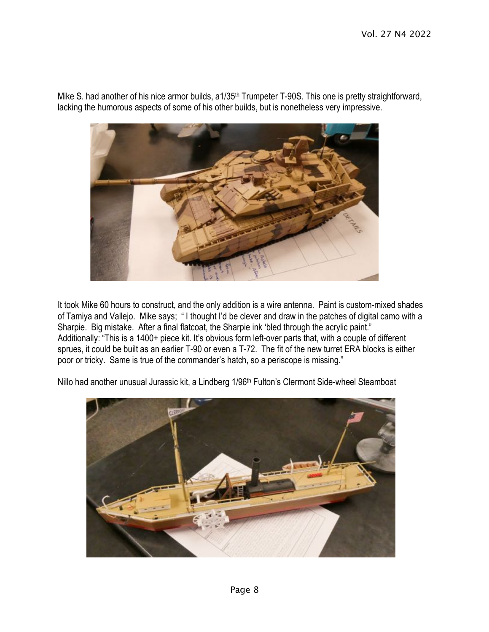

Mike S. had another of his nice armor builds, a1/35<sup>th</sup> Trumpeter T-90S. This one is pretty straightforward, lacking the humorous aspects of some of his other builds, but is nonetheless very impressive.

It took Mike 60 hours to construct, and the only addition is a wire antenna. Paint is custom-mixed shades of Tamiya and Vallejo. Mike says; " I thought I'd be clever and draw in the patches of digital camo with a Sharpie. Big mistake. After a final flatcoat, the Sharpie ink 'bled through the acrylic paint." Additionally: "This is a 1400+ piece kit. It's obvious form left-over parts that, with a couple of different sprues, it could be built as an earlier T-90 or even a T-72. The fit of the new turret ERA blocks is either poor or tricky. Same is true of the commander's hatch, so a periscope is missing."

Nillo had another unusual Jurassic kit, a Lindberg 1/96<sup>th</sup> Fulton's Clermont Side-wheel Steamboat

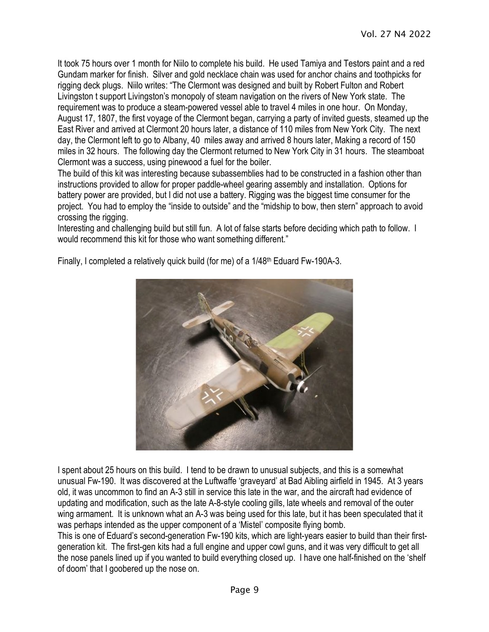It took 75 hours over 1 month for Niilo to complete his build. He used Tamiya and Testors paint and a red Gundam marker for finish. Silver and gold necklace chain was used for anchor chains and toothpicks for rigging deck plugs. Niilo writes: "The Clermont was designed and built by Robert Fulton and Robert Livingston t support Livingston's monopoly of steam navigation on the rivers of New York state. The requirement was to produce a steam-powered vessel able to travel 4 miles in one hour. On Monday, August 17, 1807, the first voyage of the Clermont began, carrying a party of invited guests, steamed up the East River and arrived at Clermont 20 hours later, a distance of 110 miles from New York City. The next day, the Clermont left to go to Albany, 40 miles away and arrived 8 hours later, Making a record of 150 miles in 32 hours. The following day the Clermont returned to New York City in 31 hours. The steamboat Clermont was a success, using pinewood a fuel for the boiler.

The build of this kit was interesting because subassemblies had to be constructed in a fashion other than instructions provided to allow for proper paddle-wheel gearing assembly and installation. Options for battery power are provided, but I did not use a battery. Rigging was the biggest time consumer for the project. You had to employ the "inside to outside" and the "midship to bow, then stern" approach to avoid crossing the rigging.

Interesting and challenging build but still fun. A lot of false starts before deciding which path to follow. I would recommend this kit for those who want something different."



Finally, I completed a relatively quick build (for me) of a 1/48th Eduard Fw-190A-3.

I spent about 25 hours on this build. I tend to be drawn to unusual subjects, and this is a somewhat unusual Fw-190. It was discovered at the Luftwaffe 'graveyard' at Bad Aibling airfield in 1945. At 3 years old, it was uncommon to find an A-3 still in service this late in the war, and the aircraft had evidence of updating and modification, such as the late A-8-style cooling gills, late wheels and removal of the outer wing armament. It is unknown what an A-3 was being used for this late, but it has been speculated that it was perhaps intended as the upper component of a 'Mistel' composite flying bomb.

This is one of Eduard's second-generation Fw-190 kits, which are light-years easier to build than their firstgeneration kit. The first-gen kits had a full engine and upper cowl guns, and it was very difficult to get all the nose panels lined up if you wanted to build everything closed up. I have one half-finished on the 'shelf of doom' that I goobered up the nose on.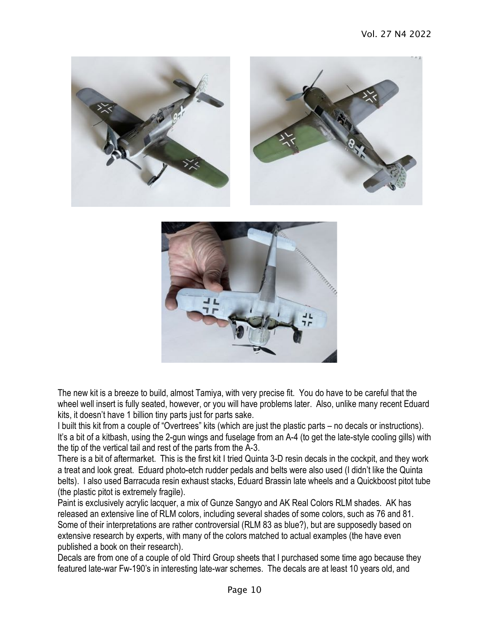



The new kit is a breeze to build, almost Tamiya, with very precise fit. You do have to be careful that the wheel well insert is fully seated, however, or you will have problems later. Also, unlike many recent Eduard kits, it doesn't have 1 billion tiny parts just for parts sake.

I built this kit from a couple of "Overtrees" kits (which are just the plastic parts – no decals or instructions). It's a bit of a kitbash, using the 2-gun wings and fuselage from an A-4 (to get the late-style cooling gills) with the tip of the vertical tail and rest of the parts from the A-3.

There is a bit of aftermarket. This is the first kit I tried Quinta 3-D resin decals in the cockpit, and they work a treat and look great. Eduard photo-etch rudder pedals and belts were also used (I didn't like the Quinta belts). I also used Barracuda resin exhaust stacks, Eduard Brassin late wheels and a Quickboost pitot tube (the plastic pitot is extremely fragile).

Paint is exclusively acrylic lacquer, a mix of Gunze Sangyo and AK Real Colors RLM shades. AK has released an extensive line of RLM colors, including several shades of some colors, such as 76 and 81. Some of their interpretations are rather controversial (RLM 83 as blue?), but are supposedly based on extensive research by experts, with many of the colors matched to actual examples (the have even published a book on their research).

Decals are from one of a couple of old Third Group sheets that I purchased some time ago because they featured late-war Fw-190's in interesting late-war schemes. The decals are at least 10 years old, and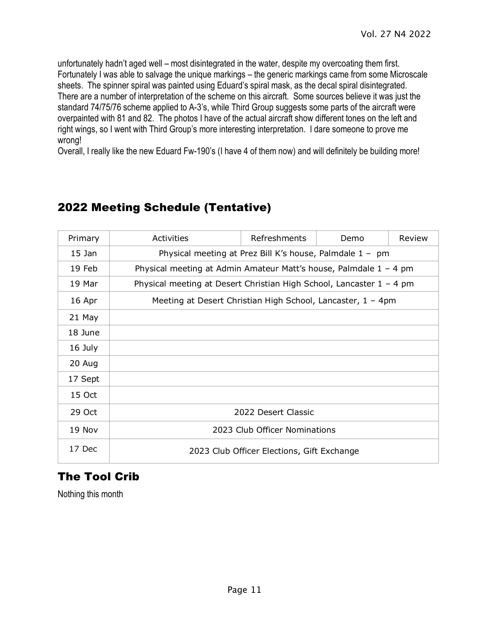unfortunately hadn't aged well – most disintegrated in the water, despite my overcoating them first. Fortunately I was able to salvage the unique markings – the generic markings came from some Microscale sheets. The spinner spiral was painted using Eduard's spiral mask, as the decal spiral disintegrated. There are a number of interpretation of the scheme on this aircraft. Some sources believe it was just the standard 74/75/76 scheme applied to A-3's, while Third Group suggests some parts of the aircraft were overpainted with 81 and 82. The photos I have of the actual aircraft show different tones on the left and right wings, so I went with Third Group's more interesting interpretation. I dare someone to prove me wrong!

Overall, I really like the new Eduard Fw-190's (I have 4 of them now) and will definitely be building more!

# 2022 Meeting Schedule (Tentative)

| Primary  | Activities                                                           | Refreshments | Demo | Review |  |
|----------|----------------------------------------------------------------------|--------------|------|--------|--|
| $15$ Jan | Physical meeting at Prez Bill K's house, Palmdale 1 - pm             |              |      |        |  |
| 19 Feb   | Physical meeting at Admin Amateur Matt's house, Palmdale $1 - 4$ pm  |              |      |        |  |
| 19 Mar   | Physical meeting at Desert Christian High School, Lancaster 1 - 4 pm |              |      |        |  |
| 16 Apr   | Meeting at Desert Christian High School, Lancaster, 1 - 4pm          |              |      |        |  |
| 21 May   |                                                                      |              |      |        |  |
| 18 June  |                                                                      |              |      |        |  |
| 16 July  |                                                                      |              |      |        |  |
| 20 Aug   |                                                                      |              |      |        |  |
| 17 Sept  |                                                                      |              |      |        |  |
| 15 Oct   |                                                                      |              |      |        |  |
| 29 Oct   | 2022 Desert Classic                                                  |              |      |        |  |
| 19 Nov   | 2023 Club Officer Nominations                                        |              |      |        |  |
| 17 Dec   | 2023 Club Officer Elections, Gift Exchange                           |              |      |        |  |

# The Tool Crib

Nothing this month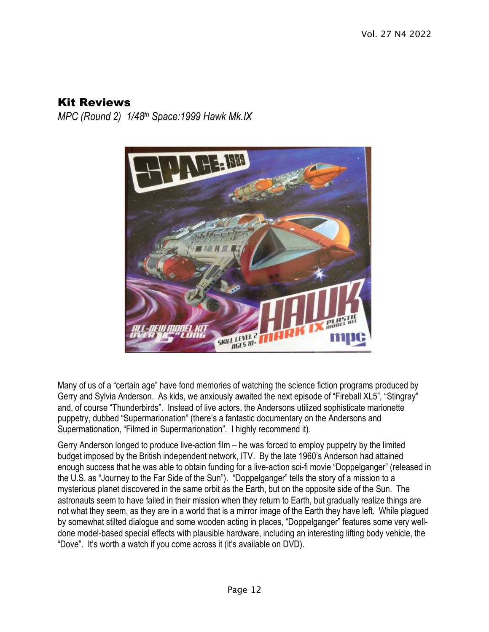### Kit Reviews

*MPC (Round 2) 1/48th Space:1999 Hawk Mk.IX*



Many of us of a "certain age" have fond memories of watching the science fiction programs produced by Gerry and Sylvia Anderson. As kids, we anxiously awaited the next episode of "Fireball XL5", "Stingray" and, of course "Thunderbirds". Instead of live actors, the Andersons utilized sophisticate marionette puppetry, dubbed "Supermarionation" (there's a fantastic documentary on the Andersons and Supermationation, "Filmed in Supermarionation". I highly recommend it).

Gerry Anderson longed to produce live-action film – he was forced to employ puppetry by the limited budget imposed by the British independent network, ITV. By the late 1960's Anderson had attained enough success that he was able to obtain funding for a live-action sci-fi movie "Doppelganger" (released in the U.S. as "Journey to the Far Side of the Sun"). "Doppelganger" tells the story of a mission to a mysterious planet discovered in the same orbit as the Earth, but on the opposite side of the Sun. The astronauts seem to have failed in their mission when they return to Earth, but gradually realize things are not what they seem, as they are in a world that is a mirror image of the Earth they have left. While plagued by somewhat stilted dialogue and some wooden acting in places, "Doppelganger" features some very welldone model-based special effects with plausible hardware, including an interesting lifting body vehicle, the "Dove". It's worth a watch if you come across it (it's available on DVD).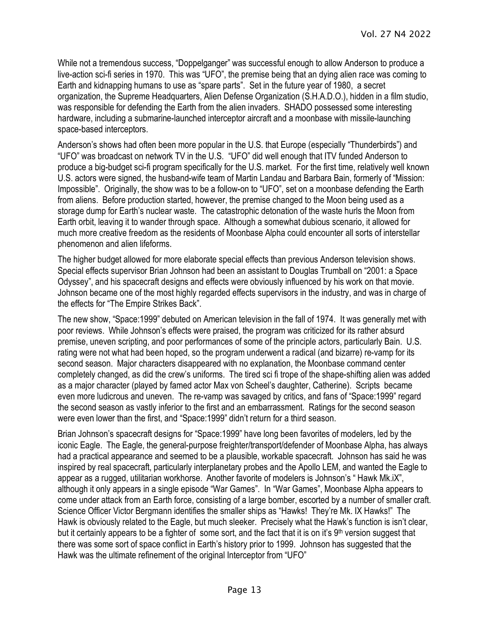While not a tremendous success, "Doppelganger" was successful enough to allow Anderson to produce a live-action sci-fi series in 1970. This was "UFO", the premise being that an dying alien race was coming to Earth and kidnapping humans to use as "spare parts". Set in the future year of 1980, a secret organization, the Supreme Headquarters, Alien Defense Organization (S.H.A.D.O.), hidden in a film studio, was responsible for defending the Earth from the alien invaders. SHADO possessed some interesting hardware, including a submarine-launched interceptor aircraft and a moonbase with missile-launching space-based interceptors.

Anderson's shows had often been more popular in the U.S. that Europe (especially "Thunderbirds") and "UFO" was broadcast on network TV in the U.S. "UFO" did well enough that ITV funded Anderson to produce a big-budget sci-fi program specifically for the U.S. market. For the first time, relatively well known U.S. actors were signed, the husband-wife team of Martin Landau and Barbara Bain, formerly of "Mission: Impossible". Originally, the show was to be a follow-on to "UFO", set on a moonbase defending the Earth from aliens. Before production started, however, the premise changed to the Moon being used as a storage dump for Earth's nuclear waste. The catastrophic detonation of the waste hurls the Moon from Earth orbit, leaving it to wander through space. Although a somewhat dubious scenario, it allowed for much more creative freedom as the residents of Moonbase Alpha could encounter all sorts of interstellar phenomenon and alien lifeforms.

The higher budget allowed for more elaborate special effects than previous Anderson television shows. Special effects supervisor Brian Johnson had been an assistant to Douglas Trumball on "2001: a Space Odyssey", and his spacecraft designs and effects were obviously influenced by his work on that movie. Johnson became one of the most highly regarded effects supervisors in the industry, and was in charge of the effects for "The Empire Strikes Back".

The new show, "Space:1999" debuted on American television in the fall of 1974. It was generally met with poor reviews. While Johnson's effects were praised, the program was criticized for its rather absurd premise, uneven scripting, and poor performances of some of the principle actors, particularly Bain. U.S. rating were not what had been hoped, so the program underwent a radical (and bizarre) re-vamp for its second season. Major characters disappeared with no explanation, the Moonbase command center completely changed, as did the crew's uniforms. The tired sci fi trope of the shape-shifting alien was added as a major character (played by famed actor Max von Scheel's daughter, Catherine). Scripts became even more ludicrous and uneven. The re-vamp was savaged by critics, and fans of "Space:1999" regard the second season as vastly inferior to the first and an embarrassment. Ratings for the second season were even lower than the first, and "Space:1999" didn't return for a third season.

Brian Johnson's spacecraft designs for "Space:1999" have long been favorites of modelers, led by the iconic Eagle. The Eagle, the general-purpose freighter/transport/defender of Moonbase Alpha, has always had a practical appearance and seemed to be a plausible, workable spacecraft. Johnson has said he was inspired by real spacecraft, particularly interplanetary probes and the Apollo LEM, and wanted the Eagle to appear as a rugged, utilitarian workhorse. Another favorite of modelers is Johnson's " Hawk Mk.iX", although it only appears in a single episode "War Games". In "War Games", Moonbase Alpha appears to come under attack from an Earth force, consisting of a large bomber, escorted by a number of smaller craft. Science Officer Victor Bergmann identifies the smaller ships as "Hawks! They're Mk. IX Hawks!" The Hawk is obviously related to the Eagle, but much sleeker. Precisely what the Hawk's function is isn't clear, but it certainly appears to be a fighter of some sort, and the fact that it is on it's 9th version suggest that there was some sort of space conflict in Earth's history prior to 1999. Johnson has suggested that the Hawk was the ultimate refinement of the original Interceptor from "UFO"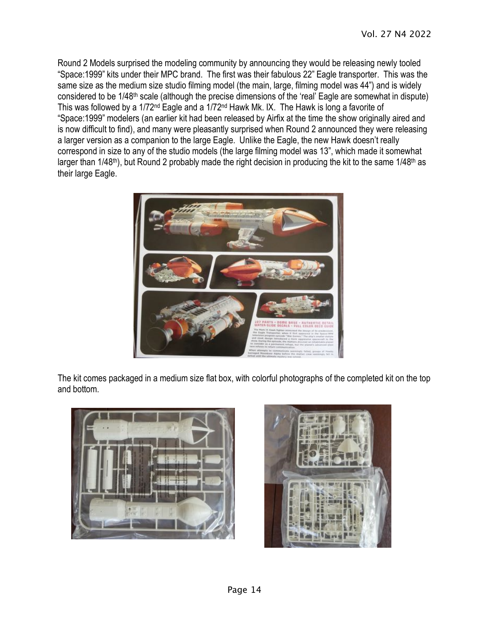Round 2 Models surprised the modeling community by announcing they would be releasing newly tooled "Space:1999" kits under their MPC brand. The first was their fabulous 22" Eagle transporter. This was the same size as the medium size studio filming model (the main, large, filming model was 44") and is widely considered to be 1/48th scale (although the precise dimensions of the 'real' Eagle are somewhat in dispute) This was followed by a 1/72nd Eagle and a 1/72nd Hawk Mk. IX. The Hawk is long a favorite of "Space:1999" modelers (an earlier kit had been released by Airfix at the time the show originally aired and is now difficult to find), and many were pleasantly surprised when Round 2 announced they were releasing a larger version as a companion to the large Eagle. Unlike the Eagle, the new Hawk doesn't really correspond in size to any of the studio models (the large filming model was 13", which made it somewhat larger than 1/48<sup>th</sup>), but Round 2 probably made the right decision in producing the kit to the same 1/48<sup>th</sup> as their large Eagle.



The kit comes packaged in a medium size flat box, with colorful photographs of the completed kit on the top and bottom.



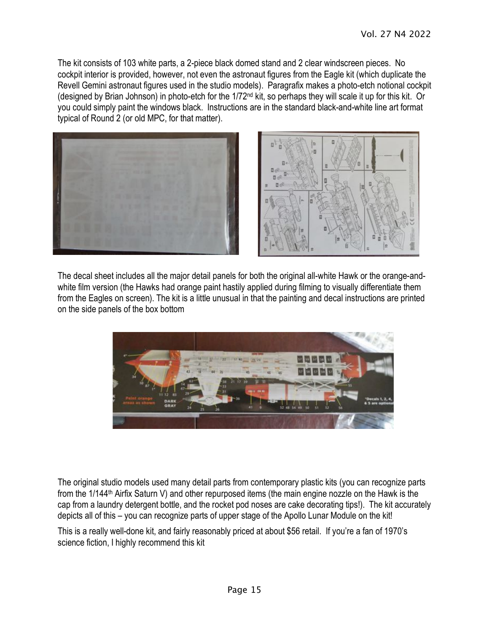The kit consists of 103 white parts, a 2-piece black domed stand and 2 clear windscreen pieces. No cockpit interior is provided, however, not even the astronaut figures from the Eagle kit (which duplicate the Revell Gemini astronaut figures used in the studio models). Paragrafix makes a photo-etch notional cockpit (designed by Brian Johnson) in photo-etch for the 1/72nd kit, so perhaps they will scale it up for this kit. Or you could simply paint the windows black. Instructions are in the standard black-and-white line art format typical of Round 2 (or old MPC, for that matter).



The decal sheet includes all the major detail panels for both the original all-white Hawk or the orange-andwhite film version (the Hawks had orange paint hastily applied during filming to visually differentiate them from the Eagles on screen). The kit is a little unusual in that the painting and decal instructions are printed on the side panels of the box bottom



The original studio models used many detail parts from contemporary plastic kits (you can recognize parts from the 1/144th Airfix Saturn V) and other repurposed items (the main engine nozzle on the Hawk is the cap from a laundry detergent bottle, and the rocket pod noses are cake decorating tips!). The kit accurately depicts all of this – you can recognize parts of upper stage of the Apollo Lunar Module on the kit!

This is a really well-done kit, and fairly reasonably priced at about \$56 retail. If you're a fan of 1970's science fiction, I highly recommend this kit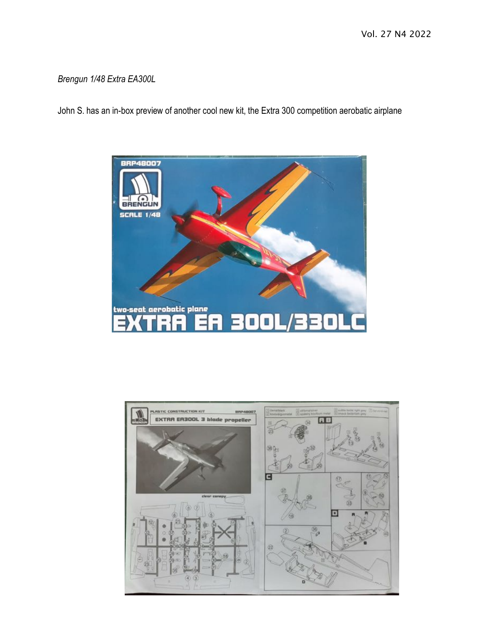Vol. 27 N4 2022

#### *Brengun 1/48 Extra EA300L*

John S. has an in-box preview of another cool new kit, the Extra 300 competition aerobatic airplane



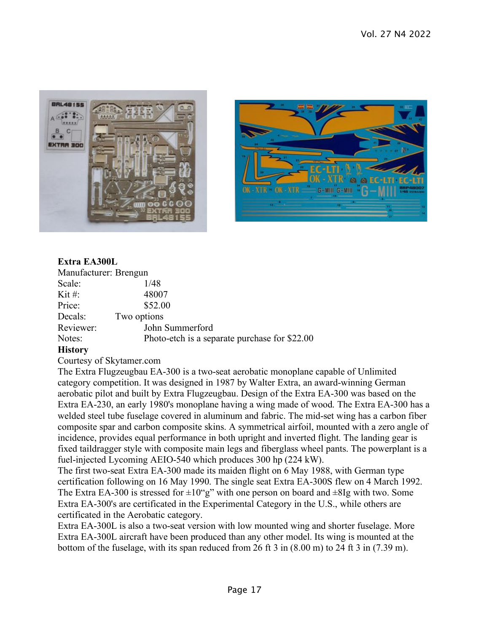



#### **Extra EA300L**

| Manufacturer: Brengun |                                               |
|-----------------------|-----------------------------------------------|
| Scale:                | 1/48                                          |
| Kit #:                | 48007                                         |
| Price:                | \$52.00                                       |
| Decals:               | Two options                                   |
| Reviewer:             | John Summerford                               |
| Notes:                | Photo-etch is a separate purchase for \$22.00 |

#### **History**

Courtesy of Skytamer.com

The Extra Flugzeugbau EA-300 is a two-seat aerobatic monoplane capable of Unlimited category competition. It was designed in 1987 by Walter Extra, an award-winning German aerobatic pilot and built by Extra Flugzeugbau. Design of the Extra EA-300 was based on the Extra EA-230, an early 1980's monoplane having a wing made of wood. The Extra EA-300 has a welded steel tube fuselage covered in aluminum and fabric. The mid-set wing has a carbon fiber composite spar and carbon composite skins. A symmetrical airfoil, mounted with a zero angle of incidence, provides equal performance in both upright and inverted flight. The landing gear is fixed taildragger style with composite main legs and fiberglass wheel pants. The powerplant is a fuel-injected Lycoming AEIO-540 which produces 300 hp (224 kW).

The first two-seat Extra EA-300 made its maiden flight on 6 May 1988, with German type certification following on 16 May 1990. The single seat Extra EA-300S flew on 4 March 1992. The Extra EA-300 is stressed for  $\pm 10^{\circ}$ g" with one person on board and  $\pm 8$ Ig with two. Some Extra EA-300's are certificated in the Experimental Category in the U.S., while others are certificated in the Aerobatic category.

Extra EA-300L is also a two-seat version with low mounted wing and shorter fuselage. More Extra EA-300L aircraft have been produced than any other model. Its wing is mounted at the bottom of the fuselage, with its span reduced from 26 ft 3 in  $(8.00 \text{ m})$  to 24 ft 3 in  $(7.39 \text{ m})$ .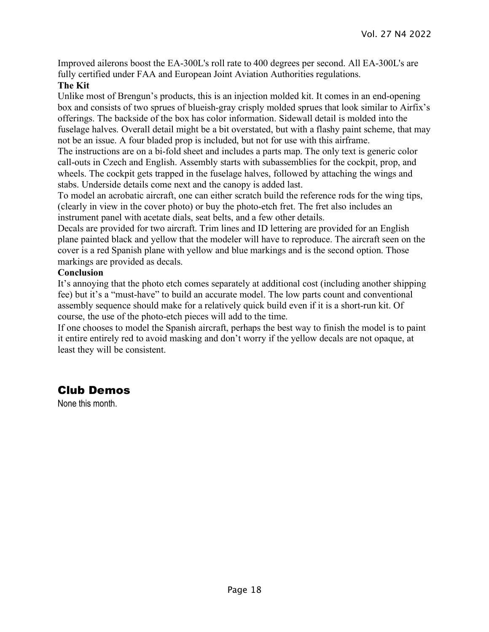Improved ailerons boost the EA-300L's roll rate to 400 degrees per second. All EA-300L's are fully certified under FAA and European Joint Aviation Authorities regulations.

#### **The Kit**

Unlike most of Brengun's products, this is an injection molded kit. It comes in an end-opening box and consists of two sprues of blueish-gray crisply molded sprues that look similar to Airfix's offerings. The backside of the box has color information. Sidewall detail is molded into the fuselage halves. Overall detail might be a bit overstated, but with a flashy paint scheme, that may not be an issue. A four bladed prop is included, but not for use with this airframe.

The instructions are on a bi-fold sheet and includes a parts map. The only text is generic color call-outs in Czech and English. Assembly starts with subassemblies for the cockpit, prop, and wheels. The cockpit gets trapped in the fuselage halves, followed by attaching the wings and stabs. Underside details come next and the canopy is added last.

To model an acrobatic aircraft, one can either scratch build the reference rods for the wing tips, (clearly in view in the cover photo) or buy the photo-etch fret. The fret also includes an instrument panel with acetate dials, seat belts, and a few other details.

Decals are provided for two aircraft. Trim lines and ID lettering are provided for an English plane painted black and yellow that the modeler will have to reproduce. The aircraft seen on the cover is a red Spanish plane with yellow and blue markings and is the second option. Those markings are provided as decals.

#### **Conclusion**

It's annoying that the photo etch comes separately at additional cost (including another shipping fee) but it's a "must-have" to build an accurate model. The low parts count and conventional assembly sequence should make for a relatively quick build even if it is a short-run kit. Of course, the use of the photo-etch pieces will add to the time.

If one chooses to model the Spanish aircraft, perhaps the best way to finish the model is to paint it entire entirely red to avoid masking and don't worry if the yellow decals are not opaque, at least they will be consistent.

# Club Demos

None this month.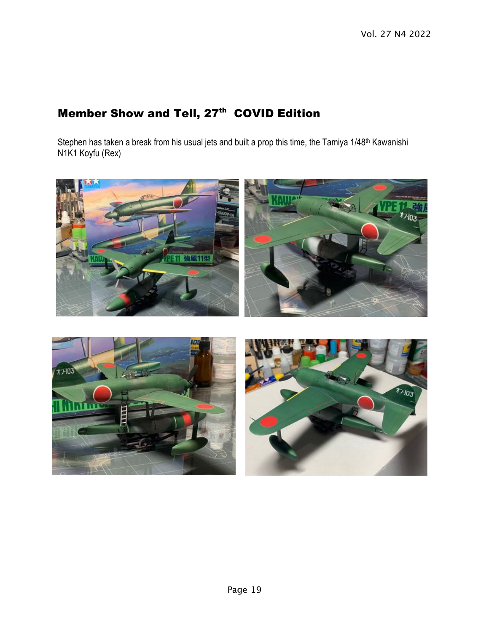# Member Show and Tell, 27<sup>th</sup> COVID Edition

Stephen has taken a break from his usual jets and built a prop this time, the Tamiya 1/48<sup>th</sup> Kawanishi N1K1 Koyfu (Rex)

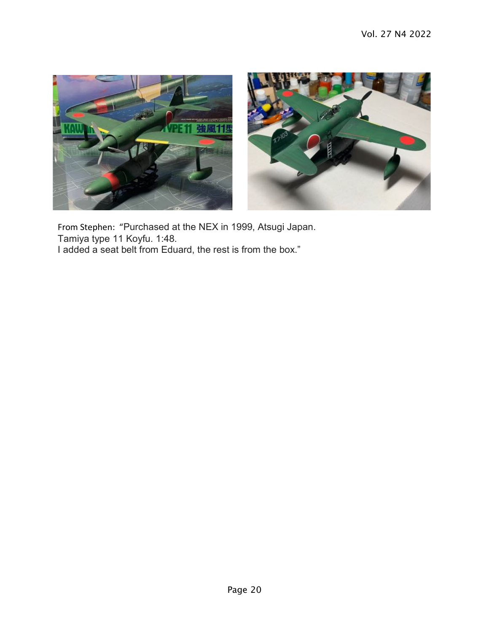

From Stephen: "Purchased at the NEX in 1999, Atsugi Japan. Tamiya type 11 Koyfu. 1:48. I added a seat belt from Eduard, the rest is from the box."